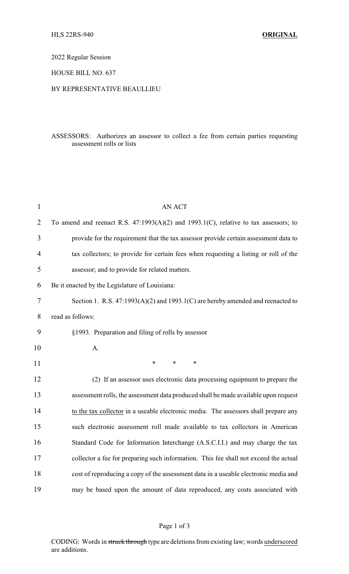2022 Regular Session

HOUSE BILL NO. 637

### BY REPRESENTATIVE BEAULLIEU

## ASSESSORS: Authorizes an assessor to collect a fee from certain parties requesting assessment rolls or lists

| $\mathbf{1}$   | <b>AN ACT</b>                                                                             |
|----------------|-------------------------------------------------------------------------------------------|
| $\overline{2}$ | To amend and reenact R.S. $47:1993(A)(2)$ and $1993.1(C)$ , relative to tax assessors; to |
| 3              | provide for the requirement that the tax assessor provide certain assessment data to      |
| 4              | tax collectors; to provide for certain fees when requesting a listing or roll of the      |
| 5              | assessor; and to provide for related matters.                                             |
| 6              | Be it enacted by the Legislature of Louisiana:                                            |
| 7              | Section 1. R.S. $47:1993(A)(2)$ and $1993.1(C)$ are hereby amended and reenacted to       |
| 8              | read as follows:                                                                          |
| 9              | §1993. Preparation and filing of rolls by assessor                                        |
| 10             | A.                                                                                        |
| 11             | $\ast$<br>*<br>$\ast$                                                                     |
| 12             | (2) If an assessor uses electronic data processing equipment to prepare the               |
| 13             | assessment rolls, the assessment data produced shall be made available upon request       |
| 14             | to the tax collector in a useable electronic media. The assessors shall prepare any       |
| 15             | such electronic assessment roll made available to tax collectors in American              |
| 16             | Standard Code for Information Interchange (A.S.C.I.I.) and may charge the tax             |
| 17             | collector a fee for preparing such information. This fee shall not exceed the actual      |
| 18             | cost of reproducing a copy of the assessment data in a useable electronic media and       |
| 19             | may be based upon the amount of data reproduced, any costs associated with                |

# Page 1 of 3

CODING: Words in struck through type are deletions from existing law; words underscored are additions.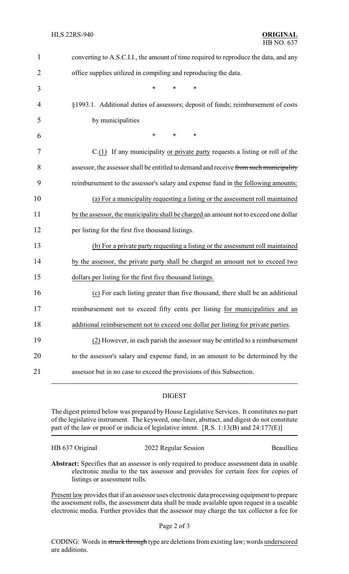| $\mathbf{1}$ | converting to A.S.C.I.I., the amount of time required to reproduce the data, and any  |
|--------------|---------------------------------------------------------------------------------------|
| 2            | office supplies utilized in compiling and reproducing the data.                       |
| 3            | *<br>*                                                                                |
| 4            | §1993.1. Additional duties of assessors; deposit of funds; reimbursement of costs     |
| 5            | by municipalities                                                                     |
| 6            | *<br>*<br>∗                                                                           |
| 7            | $C(1)$ If any municipality or private party requests a listing or roll of the         |
| 8            | assessor, the assessor shall be entitled to demand and receive from such municipality |
| 9            | reimbursement to the assessor's salary and expense fund in the following amounts:     |
| 10           | (a) For a municipality requesting a listing or the assessment roll maintained         |
| 11           | by the assessor, the municipality shall be charged an amount not to exceed one dollar |
| 12           | per listing for the first five thousand listings.                                     |
| 13           | (b) For a private party requesting a listing or the assessment roll maintained        |
| 14           | by the assessor, the private party shall be charged an amount not to exceed two       |
| 15           | dollars per listing for the first five thousand listings.                             |
| 16           | (c) For each listing greater than five thousand, there shall be an additional         |
| 17           | reimbursement not to exceed fifty cents per listing for municipalities and an         |
| 18           | additional reimbursement not to exceed one dollar per listing for private parties.    |
| 19           | (2) However, in each parish the assessor may be entitled to a reimbursement           |
| 20           | to the assessor's salary and expense fund, in an amount to be determined by the       |
| 21           | assessor but in no case to exceed the provisions of this Subsection.                  |
|              |                                                                                       |

## DIGEST

The digest printed below was prepared by House Legislative Services. It constitutes no part of the legislative instrument. The keyword, one-liner, abstract, and digest do not constitute part of the law or proof or indicia of legislative intent. [R.S. 1:13(B) and 24:177(E)]

HB 637 Original 2022 Regular Session Beaullieu

**Abstract:** Specifies that an assessor is only required to produce assessment data in usable electronic media to the tax assessor and provides for certain fees for copies of listings or assessment rolls.

Present law provides that if an assessor uses electronic data processing equipment to prepare the assessment rolls, the assessment data shall be made available upon request in a useable electronic media. Further provides that the assessor may charge the tax collector a fee for